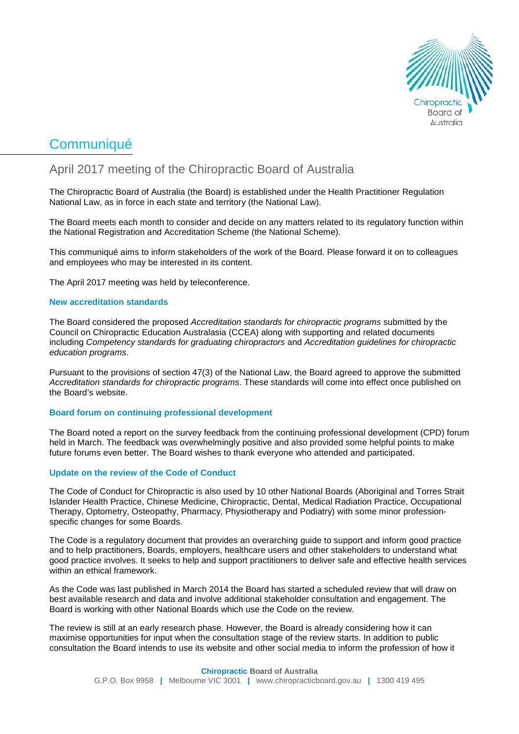

# **Communiqué**

# April 2017 meeting of the Chiropractic Board of Australia

The Chiropractic Board of Australia (the Board) is established under the Health Practitioner Regulation National Law, as in force in each state and territory (the National Law).

The Board meets each month to consider and decide on any matters related to its regulatory function within the National Registration and Accreditation Scheme (the National Scheme).

This communiqué aims to inform stakeholders of the work of the Board. Please forward it on to colleagues and employees who may be interested in its content.

The April 2017 meeting was held by teleconference.

### **New accreditation standards**

The Board considered the proposed *Accreditation standards for chiropractic programs* submitted by the Council on Chiropractic Education Australasia (CCEA) along with supporting and related documents including *Competency standards for graduating chiropractors* and *Accreditation guidelines for chiropractic education programs*.

Pursuant to the provisions of section 47(3) of the National Law, the Board agreed to approve the submitted *Accreditation standards for chiropractic programs*. These standards will come into effect once published on the Board's website**.**

### **Board forum on continuing professional development**

The Board noted a report on the survey feedback from the continuing professional development (CPD) forum held in March. The feedback was overwhelmingly positive and also provided some helpful points to make future forums even better. The Board wishes to thank everyone who attended and participated.

# **Update on the review of the Code of Conduct**

The Code of Conduct for Chiropractic is also used by 10 other National Boards (Aboriginal and Torres Strait Islander Health Practice, Chinese Medicine, Chiropractic, Dental, Medical Radiation Practice, Occupational Therapy, Optometry, Osteopathy, Pharmacy, Physiotherapy and Podiatry) with some minor professionspecific changes for some Boards.

The Code is a regulatory document that provides an overarching guide to support and inform good practice and to help practitioners, Boards, employers, healthcare users and other stakeholders to understand what good practice involves. It seeks to help and support practitioners to deliver safe and effective health services within an ethical framework.

As the Code was last published in March 2014 the Board has started a scheduled review that will draw on best available research and data and involve additional stakeholder consultation and engagement. The Board is working with other National Boards which use the Code on the review.

The review is still at an early research phase. However, the Board is already considering how it can maximise opportunities for input when the consultation stage of the review starts. In addition to public consultation the Board intends to use its website and other social media to inform the profession of how it